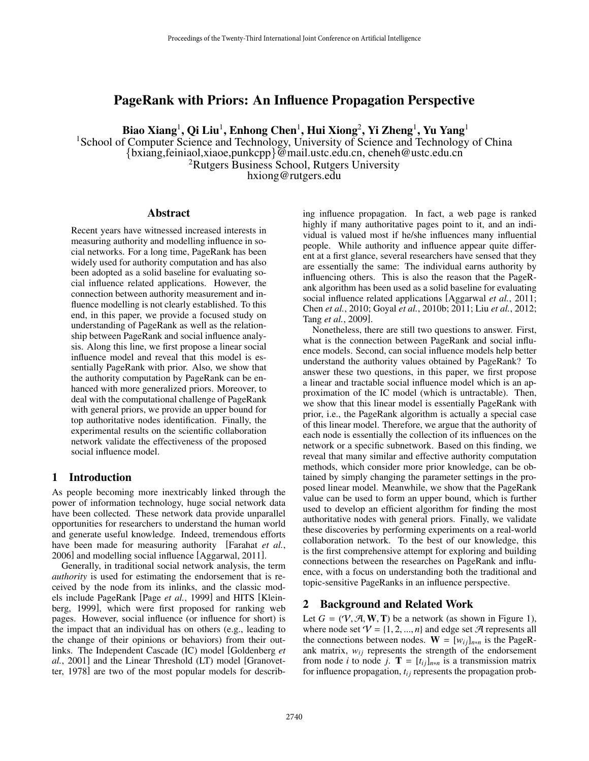# PageRank with Priors: An Influence Propagation Perspective

Biao Xiang<sup>1</sup>, Qi Liu<sup>1</sup>, Enhong Chen<sup>1</sup>, Hui Xiong<sup>2</sup>, Yi Zheng<sup>1</sup>, Yu Yang<sup>1</sup>

<sup>1</sup>School of Computer Science and Technology, University of Science and Technology of China {bxiang,feiniaol,xiaoe,punkcpp}@mail.ustc.edu.cn, cheneh@ustc.edu.cn <sup>2</sup>Rutgers Business School, Rutgers University<br>hxiong@rutgers.edu

#### Abstract

Recent years have witnessed increased interests in measuring authority and modelling influence in social networks. For a long time, PageRank has been widely used for authority computation and has also been adopted as a solid baseline for evaluating social influence related applications. However, the connection between authority measurement and influence modelling is not clearly established. To this end, in this paper, we provide a focused study on understanding of PageRank as well as the relationship between PageRank and social influence analysis. Along this line, we first propose a linear social influence model and reveal that this model is essentially PageRank with prior. Also, we show that the authority computation by PageRank can be enhanced with more generalized priors. Moreover, to deal with the computational challenge of PageRank with general priors, we provide an upper bound for top authoritative nodes identification. Finally, the experimental results on the scientific collaboration network validate the effectiveness of the proposed social influence model.

# 1 Introduction

As people becoming more inextricably linked through the power of information technology, huge social network data have been collected. These network data provide unparallel opportunities for researchers to understand the human world and generate useful knowledge. Indeed, tremendous efforts have been made for measuring authority [Farahat *et al.*, 2006] and modelling social influence [Aggarwal, 2011].

Generally, in traditional social network analysis, the term *authority* is used for estimating the endorsement that is received by the node from its inlinks, and the classic models include PageRank [Page *et al.*, 1999] and HITS [Kleinberg, 1999], which were first proposed for ranking web pages. However, social influence (or influence for short) is the impact that an individual has on others (e.g., leading to the change of their opinions or behaviors) from their outlinks. The Independent Cascade (IC) model [Goldenberg *et al.*, 2001] and the Linear Threshold (LT) model [Granovetter, 1978] are two of the most popular models for describing influence propagation. In fact, a web page is ranked highly if many authoritative pages point to it, and an individual is valued most if he/she influences many influential people. While authority and influence appear quite different at a first glance, several researchers have sensed that they are essentially the same: The individual earns authority by influencing others. This is also the reason that the PageRank algorithm has been used as a solid baseline for evaluating social influence related applications [Aggarwal *et al.*, 2011; Chen *et al.*, 2010; Goyal *et al.*, 2010b; 2011; Liu *et al.*, 2012; Tang *et al.*, 2009].

Nonetheless, there are still two questions to answer. First, what is the connection between PageRank and social influence models. Second, can social influence models help better understand the authority values obtained by PageRank? To answer these two questions, in this paper, we first propose a linear and tractable social influence model which is an approximation of the IC model (which is untractable). Then, we show that this linear model is essentially PageRank with prior, i.e., the PageRank algorithm is actually a special case of this linear model. Therefore, we argue that the authority of each node is essentially the collection of its influences on the network or a specific subnetwork. Based on this finding, we reveal that many similar and effective authority computation methods, which consider more prior knowledge, can be obtained by simply changing the parameter settings in the proposed linear model. Meanwhile, we show that the PageRank value can be used to form an upper bound, which is further used to develop an efficient algorithm for finding the most authoritative nodes with general priors. Finally, we validate these discoveries by performing experiments on a real-world collaboration network. To the best of our knowledge, this is the first comprehensive attempt for exploring and building connections between the researches on PageRank and influence, with a focus on understanding both the traditional and topic-sensitive PageRanks in an influence perspective.

#### 2 Background and Related Work

Let  $G = (\mathcal{V}, \mathcal{A}, \mathbf{W}, \mathbf{T})$  be a network (as shown in Figure 1), where node set  $V = \{1, 2, ..., n\}$  and edge set A represents all the connections between nodes.  $W = [w_{ij}]_{n*n}$  is the PageRank matrix,  $w_{ij}$  represents the strength of the endorsement from node *i* to node *j*. **T** =  $[t_{ij}]_{n*n}$  is a transmission matrix for influence propagation,  $t_{ij}$  represents the propagation prob-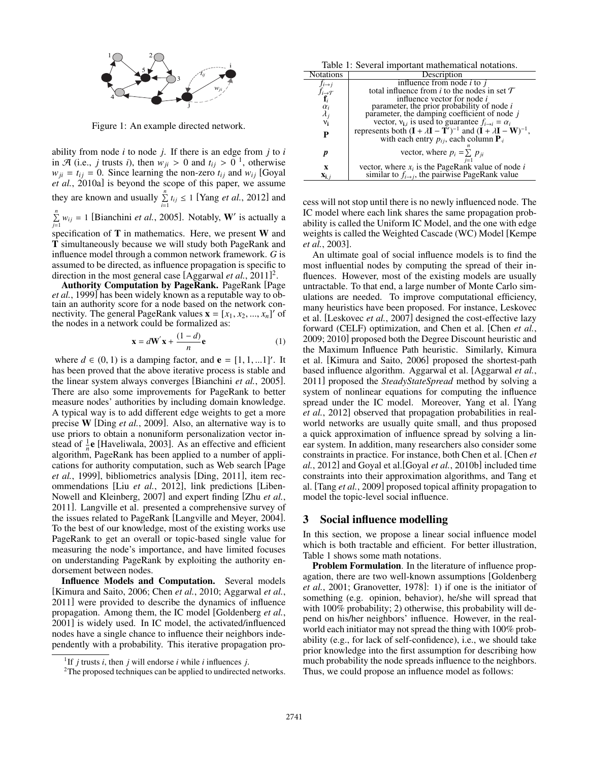

Figure 1: An example directed network.

ability from node *i* to node *j*. If there is an edge from *j* to *i* in  $\mathcal{A}$  (i.e., *j* trusts *i*), then  $w_{ji} > 0$  and  $t_{ij} > 0$ <sup>1</sup>, otherwise  $w_{ji} = t_{ij} = 0$ . Since learning the non-zero  $t_{ij}$  and  $w_{ij}$  [Goyal *et al.*, 2010a] is beyond the scope of this paper, we assume they are known and usually  $\sum_{n=1}^{\infty}$  $\sum_{i=1}^{n} t_{ij} \le 1$  [Yang *et al.*, 2012] and  $\sum_{n=1}^{\infty}$  $\sum_{j=1}^{n} w_{ij} = 1$  [Bianchini *et al.*, 2005]. Notably, **W**' is actually a specification of T in mathematics. Here, we present W and T simultaneously because we will study both PageRank and influence model through a common network framework. *G* is

assumed to be directed, as influence propagation is specific to direction in the most general case [Aggarwal *et al.*, 2011]2. Authority Computation by PageRank. PageRank [Page *et al.*, 1999] has been widely known as a reputable way to obtain an authority score for a node based on the network connectivity. The general PageRank values  $\mathbf{x} = [x_1, x_2, ..., x_n]'$  of

the nodes in a network could be formalized as:

$$
\mathbf{x} = d\mathbf{W}'\mathbf{x} + \frac{(1-d)}{n}\mathbf{e}
$$
 (1)

where  $d \in (0, 1)$  is a damping factor, and  $\mathbf{e} = [1, 1, ... 1]^\prime$ . It has been proved that the above iterative process is stable and the linear system always converges [Bianchini *et al.*, 2005]. There are also some improvements for PageRank to better measure nodes' authorities by including domain knowledge. A typical way is to add different edge weights to get a more precise W [Ding *et al.*, 2009]. Also, an alternative way is to use priors to obtain a nonuniform personalization vector instead of  $\frac{1}{n}$ **e** [Haveliwala, 2003]. As an effective and efficient algorithm, PageRank has been applied to a number of applications for authority computation, such as Web search [Page *et al.*, 1999], bibliometrics analysis [Ding, 2011], item recommendations [Liu *et al.*, 2012], link predictions [Liben-Nowell and Kleinberg, 2007] and expert finding [Zhu *et al.*, 2011]. Langville et al. presented a comprehensive survey of the issues related to PageRank [Langville and Meyer, 2004]. To the best of our knowledge, most of the existing works use PageRank to get an overall or topic-based single value for measuring the node's importance, and have limited focuses on understanding PageRank by exploiting the authority endorsement between nodes.

Influence Models and Computation. Several models [Kimura and Saito, 2006; Chen *et al.*, 2010; Aggarwal *et al.*, 2011] were provided to describe the dynamics of influence propagation. Among them, the IC model [Goldenberg *et al.*, 2001] is widely used. In IC model, the activated/influenced nodes have a single chance to influence their neighbors independently with a probability. This iterative propagation pro-

Table 1: Several important mathematical notations.

|                      | raone 1. Several important mathematical hotations.                           |  |  |  |  |  |  |  |
|----------------------|------------------------------------------------------------------------------|--|--|--|--|--|--|--|
| <b>Notations</b>     | Description                                                                  |  |  |  |  |  |  |  |
| $f_{i\rightarrow j}$ | influence from node $i$ to $j$                                               |  |  |  |  |  |  |  |
| $f_{i\rightarrow T}$ | total influence from i to the nodes in set $\mathcal T$                      |  |  |  |  |  |  |  |
|                      | influence vector for node <i>i</i>                                           |  |  |  |  |  |  |  |
| $\alpha_i$           | parameter, the prior probability of node $i$                                 |  |  |  |  |  |  |  |
| $\lambda_j$          | parameter, the damping coefficient of node j                                 |  |  |  |  |  |  |  |
| $v_i$                | vector, $v_{i}$ is used to guarantee $f_{i\rightarrow i} = \alpha_i$         |  |  |  |  |  |  |  |
| P                    | represents both $(I + \lambda I - T')^{-1}$ and $(I + \lambda I - W)^{-1}$ , |  |  |  |  |  |  |  |
|                      | with each entry $p_{ij}$ , each column $P_{ij}$                              |  |  |  |  |  |  |  |
|                      |                                                                              |  |  |  |  |  |  |  |
| p                    | vector, where $p_i = \sum p_{ji}$                                            |  |  |  |  |  |  |  |
|                      |                                                                              |  |  |  |  |  |  |  |
| X                    | vector, where $x_i$ is the PageRank value of node i                          |  |  |  |  |  |  |  |
| $\mathbf{x}_{i,j}$   | similar to $f_{i\rightarrow j}$ , the pairwise PageRank value                |  |  |  |  |  |  |  |

cess will not stop until there is no newly influenced node. The IC model where each link shares the same propagation probability is called the Uniform IC Model, and the one with edge weights is called the Weighted Cascade (WC) Model [Kempe *et al.*, 2003].

An ultimate goal of social influence models is to find the most influential nodes by computing the spread of their influences. However, most of the existing models are usually untractable. To that end, a large number of Monte Carlo simulations are needed. To improve computational efficiency, many heuristics have been proposed. For instance, Leskovec et al. [Leskovec *et al.*, 2007] designed the cost-effective lazy forward (CELF) optimization, and Chen et al. [Chen *et al.*, 2009; 2010] proposed both the Degree Discount heuristic and the Maximum Influence Path heuristic. Similarly, Kimura et al. [Kimura and Saito, 2006] proposed the shortest-path based influence algorithm. Aggarwal et al. [Aggarwal *et al.*, 2011] proposed the *SteadyStateSpread* method by solving a system of nonlinear equations for computing the influence spread under the IC model. Moreover, Yang et al. [Yang *et al.*, 2012] observed that propagation probabilities in realworld networks are usually quite small, and thus proposed a quick approximation of influence spread by solving a linear system. In addition, many researchers also consider some constraints in practice. For instance, both Chen et al. [Chen *et al.*, 2012] and Goyal et al.[Goyal *et al.*, 2010b] included time constraints into their approximation algorithms, and Tang et al. [Tang *et al.*, 2009] proposed topical affinity propagation to model the topic-level social influence.

#### 3 Social influence modelling

In this section, we propose a linear social influence model which is both tractable and efficient. For better illustration, Table 1 shows some math notations.

Problem Formulation. In the literature of influence propagation, there are two well-known assumptions [Goldenberg *et al.*, 2001; Granovetter, 1978]: 1) if one is the initiator of something (e.g. opinion, behavior), he/she will spread that with  $100\%$  probability; 2) otherwise, this probability will depend on his/her neighbors' influence. However, in the realworld each initiator may not spread the thing with 100% probability (e.g., for lack of self-confidence), i.e., we should take prior knowledge into the first assumption for describing how much probability the node spreads influence to the neighbors. Thus, we could propose an influence model as follows:

<sup>&</sup>lt;sup>1</sup>If *j* trusts *i*, then *j* will endorse *i* while *i* influences *j*.

<sup>&</sup>lt;sup>2</sup>The proposed techniques can be applied to undirected networks.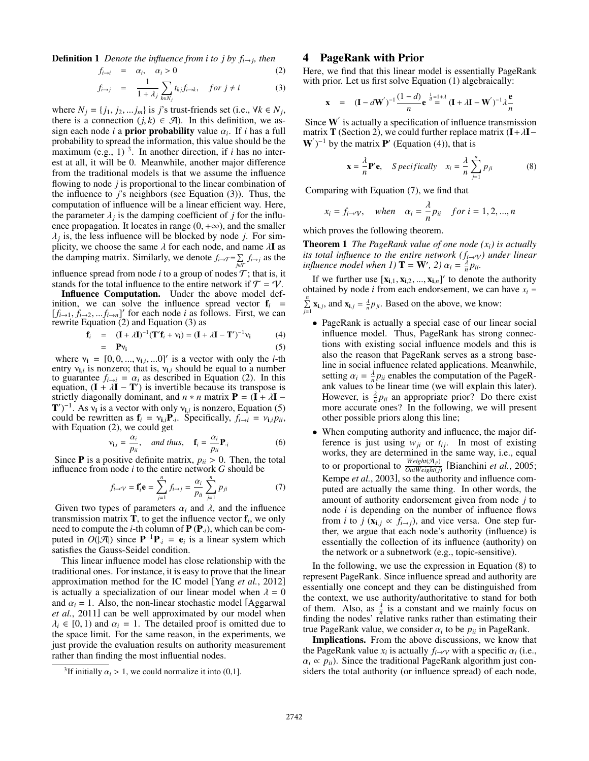**Definition 1** *Denote the influence from i to j by*  $f_{i\rightarrow j}$ *, then* 

$$
f_{i \to i} = \alpha_i, \quad \alpha_i > 0 \tag{2}
$$

$$
f_{i \to j} = \frac{1}{1 + \lambda_j} \sum_{k \in N_j} t_{kj} f_{i \to k}, \quad \text{for } j \neq i \tag{3}
$$

where  $N_j = \{j_1, j_2, \ldots, j_m\}$  is *j*'s trust-friends set (i.e.,  $\forall k \in N_j$ , there is a connection  $(j, k) \in \mathcal{A}$ ). In this definition, we assign each node *i* a **prior probability** value  $\alpha_i$ . If *i* has a full probability to spread the information, this value should be the maximum (e.g.,  $1$ )<sup>3</sup>. In another direction, if *i* has no interest at all, it will be 0. Meanwhile, another major difference from the traditional models is that we assume the influence flowing to node *j* is proportional to the linear combination of the influence to *j*'s neighbors (see Equation (3)). Thus, the computation of influence will be a linear efficient way. Here, the parameter  $\lambda_i$  is the damping coefficient of *j* for the influence propagation. It locates in range  $(0, +\infty)$ , and the smaller  $\lambda_j$  is, the less influence will be blocked by node *j*. For simplicity, we choose the same  $\lambda$  for each node, and name  $\lambda$ **I** as the damping matrix. Similarly, we denote  $f_{i\to\mathcal{T}} = \sum$  $\sum_{j \in T} f_{i \to j}$  as the

influence spread from node *i* to a group of nodes  $\mathcal{T}$ ; that is, it

stands for the total influence to the entire network if  $\mathcal{T} = \mathcal{V}$ .<br>**Influence Computation.** Under the above model definition, we can solve the influence spread vector  $f_i$  =  $[f_{i\rightarrow 1}, f_{i\rightarrow 2},...f_{i\rightarrow n}]'$  for each node *i* as follows. First, we can rewrite Equation (2) and Equation (3) as

$$
\mathbf{f}_i = (\mathbf{I} + \lambda \mathbf{I})^{-1} (\mathbf{T}' \mathbf{f}_i + \mathbf{v}_i) = (\mathbf{I} + \lambda \mathbf{I} - \mathbf{T}')^{-1} \mathbf{v}_i
$$
(4)  
=  $\mathbf{P} \mathbf{v}_i$  (5)

$$
= \quad \mathbf{P} \mathbf{v_i} \tag{5}
$$

where  $v_i = [0, 0, ..., v_{i,i}, ...0]'$  is a vector with only the *i*-th entry  $v_{i,i}$  is nonzero; that is,  $v_{i,i}$  should be equal to a number to guarantee  $f_{i\to i} = \alpha_i$  as described in Equation (2). In this equation,  $(I + \lambda I - T')$  is invertible because its transpose is strictly diagonally dominant, and  $n * n$  matrix  $P = (I + \lambda I -$ T')<sup>-1</sup>. As  $v_i$  is a vector with only  $v_{i,i}$  is nonzero, Equation (5) could be rewritten as  $\mathbf{f}_i = \mathbf{v}_{i,i} \mathbf{P}_{i}$ . Specifically,  $f_{i \to i} = \mathbf{v}_{i,i} p_{ii}$ , with Equation (2), we could get

$$
\mathbf{v}_{\mathbf{i},i} = \frac{\alpha_i}{p_{ii}}, \quad \text{and thus,} \quad \mathbf{f}_i = \frac{\alpha_i}{p_{ii}} \mathbf{P}_i \tag{6}
$$

Since **P** is a positive definite matrix,  $p_{ii} > 0$ . Then, the total influence from node *i* to the entire network *G* should be

$$
f_{i\to\mathcal{V}} = \mathbf{f}'_i \mathbf{e} = \sum_{j=1}^n f_{i\to j} = \frac{\alpha_i}{p_{ii}} \sum_{j=1}^n p_{ji}
$$
(7)

Given two types of parameters  $\alpha_i$  and  $\lambda$ , and the influence transmission matrix  $T$ , to get the influence vector  $f_i$ , we only need to compute the *i*-th column of  $P(P_i)$ , which can be computed in  $O(|\mathcal{A}|)$  since  $\mathbf{P}^{-1}\mathbf{P}_{i} = \mathbf{e}_{i}$  is a linear system which satisfies the Gauss-Seidel condition.

This linear influence model has close relationship with the traditional ones. For instance, it is easy to prove that the linear approximation method for the IC model [Yang *et al.*, 2012] is actually a specialization of our linear model when  $\lambda = 0$ and  $\alpha_i = 1$ . Also, the non-linear stochastic model [Aggarwal] *et al.*, 2011] can be well approximated by our model when  $\lambda_i \in [0, 1)$  and  $\alpha_i = 1$ . The detailed proof is omitted due to the space limit. For the same reason, in the experiments, we just provide the evaluation results on authority measurement rather than finding the most influential nodes.

# 4 PageRank with Prior

Here, we find that this linear model is essentially PageRank with prior. Let us first solve Equation (1) algebraically:

$$
\mathbf{x} = (\mathbf{I} - d\mathbf{W}')^{-1} \frac{(1-d)}{n} e^{\frac{1}{d} = 1 + \lambda} (\mathbf{I} + \lambda \mathbf{I} - \mathbf{W}')^{-1} \lambda \frac{e}{n}
$$

Since  $W'$  is actually a specification of influence transmission matrix T (Section 2), we could further replace matrix  $(I + \lambda I W'$ )<sup>-1</sup> by the matrix **P'** (Equation (4)), that is

$$
\mathbf{x} = \frac{\lambda}{n} \mathbf{P}' \mathbf{e}, \quad \text{S pecifically} \quad x_i = \frac{\lambda}{n} \sum_{j=1}^{n} p_{ji} \tag{8}
$$

Comparing with Equation (7), we find that

$$
x_i = f_{i \to \mathcal{V}}
$$
, when  $\alpha_i = \frac{\lambda}{n} p_{ii}$  for  $i = 1, 2, ..., n$ 

which proves the following theorem.

Theorem 1 *The PageRank value of one node (xi) is actually its total influence to the entire network*  $(f_{i\rightarrow Y})$  *under linear influence model when 1)*  $\mathbf{T} = \mathbf{W}'$ , 2)  $\alpha_i = \frac{\lambda}{n} p_{ii}$ .

If we further use  $[\mathbf{x}_{i,1}, \mathbf{x}_{i,2}, ..., \mathbf{x}_{i,n}]'$  to denote the authority obtained by node *i* from each endorsement, we can have  $x_i =$  $\sum_{n=1}^{\infty}$  $\sum_{j=1}^{n}$  **x**<sub>i, *j*</sub>, and **x**<sub>i, *j*</sub> =  $\frac{\lambda}{n} p_{ji}$ . Based on the above, we know:

- PageRank is actually a special case of our linear social influence model. Thus, PageRank has strong connections with existing social influence models and this is also the reason that PageRank serves as a strong baseline in social influence related applications. Meanwhile, setting  $\alpha_i = \frac{\lambda}{n} p_{ii}$  enables the computation of the PageRank values to be linear time (we will explain this later). However, is  $\frac{\lambda}{n} p_{ii}$  an appropriate prior? Do there exist more accurate ones? In the following, we will present other possible priors along this line;
- When computing authority and influence, the major difference is just using  $w_{ji}$  or  $t_{ij}$ . In most of existing works, they are determined in the same way, i.e., equal to or proportional to  $\frac{Weight(\mathcal{A}_{ji})}{Output(j)}$  [Bianchini *et al.*, 2005; Kempe *et al.*, 2003], so the authority and influence computed are actually the same thing. In other words, the amount of authority endorsement given from node *j* to node *i* is depending on the number of influence flows from *i* to *j* ( $\mathbf{x}_{i,j} \propto f_{i\rightarrow j}$ ), and vice versa. One step further, we argue that each node's authority (influence) is essentially the collection of its influence (authority) on the network or a subnetwork (e.g., topic-sensitive).

In the following, we use the expression in Equation (8) to represent PageRank. Since influence spread and authority are essentially one concept and they can be distinguished from the context, we use authority/authoritative to stand for both of them. Also, as  $\frac{\lambda}{n}$  is a constant and we mainly focus on finding the nodes' relative ranks rather than estimating their true PageRank value, we consider  $\alpha_i$  to be  $p_{ii}$  in PageRank.

Implications. From the above discussions, we know that the PageRank value  $x_i$  is actually  $f_i \rightarrow \gamma$  with a specific  $\alpha_i$  (i.e.,  $\alpha_i \propto p_{ii}$ ). Since the traditional PageRank algorithm just considers the total authority (or influence spread) of each node,

<sup>&</sup>lt;sup>3</sup>If initially  $\alpha_i > 1$ , we could normalize it into (0,1].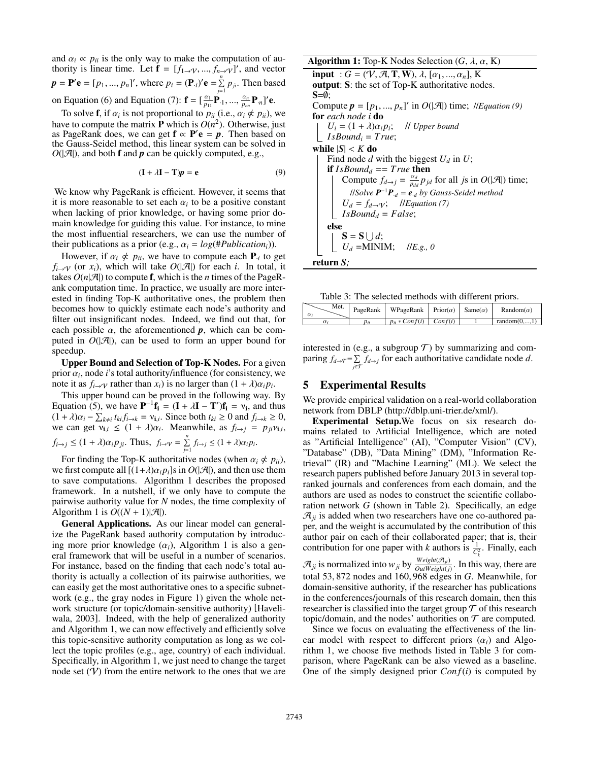and  $\alpha_i \propto p_{ii}$  is the only way to make the computation of authority is linear time. Let  $\mathbf{f} = [f_{1\rightarrow\mathcal{V}}, ..., f_{n\rightarrow\mathcal{V}}]'$ , and vector  $p = P'e = [p_1, ..., p_n]'$ , where  $p_i = (P_i)'e = \sum_{i=1}^{n} p_i$  $\sum_{j=1}^{\infty} p_{ji}$ . Then based on Equation (6) and Equation (7):  $\mathbf{f} = [\frac{\alpha_1}{p_{11}} \mathbf{P}_{1}, ..., \frac{\alpha_n}{p_{m}} \mathbf{P}_{n}]' \mathbf{e}.$ 

To solve **f**, if  $\alpha_i$  is not proportional to  $p_{ii}$  (i.e.,  $\alpha_i \notin p_{ii}$ ), we have to compute the matrix **P** which is  $O(n^2)$ . Otherwise, just as PageRank does, we can get  $f \propto P'e = p$ . Then based on the Gauss-Seidel method, this linear system can be solved in  $O(|\mathcal{A}|)$ , and both **f** and *p* can be quickly computed, e.g.,

$$
(\mathbf{I} + \lambda \mathbf{I} - \mathbf{T})p = \mathbf{e}
$$
 (9)

We know why PageRank is efficient. However, it seems that it is more reasonable to set each  $\alpha_i$  to be a positive constant when lacking of prior knowledge, or having some prior domain knowledge for guiding this value. For instance, to mine the most influential researchers, we can use the number of their publications as a prior (e.g.,  $\alpha_i = log(\#Publication_i))$ ).

However, if  $\alpha_i \notin p_{ii}$ , we have to compute each  $P_{i}$  to get  $f_i \rightarrow \gamma$  (or  $x_i$ ), which will take  $O(|\mathcal{A}|)$  for each *i*. In total, it takes  $O(n|\mathcal{A}|)$  to compute **f**, which is the *n* times of the PageRank computation time. In practice, we usually are more interested in finding Top-K authoritative ones, the problem then becomes how to quickly estimate each node's authority and filter out insignificant nodes. Indeed, we find out that, for each possible  $\alpha$ , the aforementioned  $p$ , which can be computed in  $O(|\mathcal{A}|)$ , can be used to form an upper bound for speedup.

Upper Bound and Selection of Top-K Nodes. For a given prior  $\alpha_i$ , node *i*'s total authority/influence (for consistency, we note it as  $f_{i\rightarrow\gamma}$  rather than  $x_i$ ) is no larger than  $(1 + \lambda)\alpha_i p_i$ .

This upper bound can be proved in the following way. By Equation (5), we have  $\mathbf{P}^{-1} \mathbf{f_i} = (\mathbf{I} + \lambda \mathbf{I} - \mathbf{T}') \mathbf{f_i} = v_i$ , and thus  $(1 + \lambda)\alpha_i - \sum_{k \neq i} t_{ki} f_{i \to k} = v_{i,i}$ . Since both  $t_{ki} \geq 0$  and  $f_{i \to k} \geq 0$ , we can get  $v_{i,i} \leq (1 + \lambda)\alpha_i$ . Meanwhile, as  $f_{i \to j} = p_{ji}v_{i,i}$ ,  $f_{i\rightarrow j} \leq (1 + \lambda)\alpha_i p_{ji}$ . Thus,  $f_{i\rightarrow \gamma} = \sum_{i=1}^n$  $\sum_{j=1}$   $f_{i\to j} \leq (1 + \lambda)\alpha_i p_i$ .

For finding the Top-K authoritative nodes (when  $\alpha_i \notin p_{ii}$ ), we first compute all  $[(1+\lambda)\alpha_i p_i]$ s in  $O(|\mathcal{A}|)$ , and then use them to save computations. Algorithm 1 describes the proposed framework. In a nutshell, if we only have to compute the pairwise authority value for *N* nodes, the time complexity of Algorithm 1 is  $O((N + 1)|\mathcal{A}|)$ .

General Applications. As our linear model can generalize the PageRank based authority computation by introducing more prior knowledge  $(\alpha_i)$ , Algorithm 1 is also a general framework that will be useful in a number of scenarios. For instance, based on the finding that each node's total authority is actually a collection of its pairwise authorities, we can easily get the most authoritative ones to a specific subnetwork (e.g., the gray nodes in Figure 1) given the whole network structure (or topic/domain-sensitive authority) [Haveliwala, 2003]. Indeed, with the help of generalized authority and Algorithm 1, we can now effectively and efficiently solve this topic-sensitive authority computation as long as we collect the topic profiles (e.g., age, country) of each individual. Specifically, in Algorithm 1, we just need to change the target node set  $(V)$  from the entire network to the ones that we are **Algorithm 1:** Top-K Nodes Selection  $(G, \lambda, \alpha, K)$  $\overline{\text{input}}$  :  $\overline{G}$  = (V, A, T, W),  $\lambda$ ,  $[\alpha_1, ..., \alpha_n]$ , K output: S: the set of Top-K authoritative nodes.  $S=Ø$ ; Compute  $p = [p_1, ..., p_n]'$  in  $O(|\mathcal{A}|)$  time; //*Equation* (9) for *each node i* do  $U_i = (1 + \lambda)\alpha_i p_i$ ; // *Upper bound*  $I$ *sBound<sub>i</sub>* = *True*; while  $|S| < K$  do Find node  $d$  with the biggest  $U_d$  in  $U$ ; if  $IsBound_d == True$  then Compute  $f_{d\rightarrow j} = \frac{\alpha_d}{p_{dd}} p_{jd}$  for all *js* in  $O(|\mathcal{A}|)$  time; //*Solve P*<sup>−</sup><sup>1</sup> *P*·*<sup>d</sup>* = *e*·*<sup>d</sup> by Gauss-Seidel method*  $U_d = f_{d \to \mathcal{V}}$ ; //*Equation* (7)  $IsBound<sub>d</sub> = False;$ else  $S = S \cup d;$  $U_d = \text{MINIM}; \quad \textit{I/E.g., 0}$ return *S;*

Table 3: The selected methods with different priors.

| Met.<br>$\alpha_i$ | PageRank | WPageRank   Prior( $\alpha$ ) |                | Same $(\alpha)$ | Random( <i>α</i> )      |
|--------------------|----------|-------------------------------|----------------|-----------------|-------------------------|
|                    | Dii      | $p_{ii} * Conf(i)$            | $\mid$ Conf(i) |                 | random $(0, \ldots, 1)$ |

interested in (e.g., a subgroup  $T$ ) by summarizing and comparing  $f_{d \to \mathcal{T}} = \sum$  $\sum_{j \in \mathcal{T}} f_{d \to j}$  for each authoritative candidate node *d*.

# 5 Experimental Results

We provide empirical validation on a real-world collaboration network from DBLP (http://dblp.uni-trier.de/xml/).

Experimental Setup.We focus on six research domains related to Artificial Intelligence, which are noted as "Artificial Intelligence" (AI), "Computer Vision" (CV), "Database" (DB), "Data Mining" (DM), "Information Retrieval" (IR) and "Machine Learning" (ML). We select the research papers published before January 2013 in several topranked journals and conferences from each domain, and the authors are used as nodes to construct the scientific collaboration network *G* (shown in Table 2). Specifically, an edge  $\mathcal{A}_{ii}$  is added when two researchers have one co-authored paper, and the weight is accumulated by the contribution of this author pair on each of their collaborated paper; that is, their contribution for one paper with *k* authors is  $\frac{1}{C_k^2}$ . Finally, each

 $\mathcal{A}_{ji}$  is normalized into  $w_{ji}$  by  $\frac{Weight(\mathcal{A}_{ji})}{OutWeight(j)}$ . In this way, there are total 53, 872 nodes and 160, 968 edges in *G*. Meanwhile, for domain-sensitive authority, if the researcher has publications in the conferences/journals of this research domain, then this researcher is classified into the target group  $\mathcal T$  of this research topic/domain, and the nodes' authorities on  $\mathcal T$  are computed.

Since we focus on evaluating the effectiveness of the linear model with respect to different priors  $(\alpha_i)$  and Algorithm 1, we choose five methods listed in Table 3 for comparison, where PageRank can be also viewed as a baseline. One of the simply designed prior  $Conf(i)$  is computed by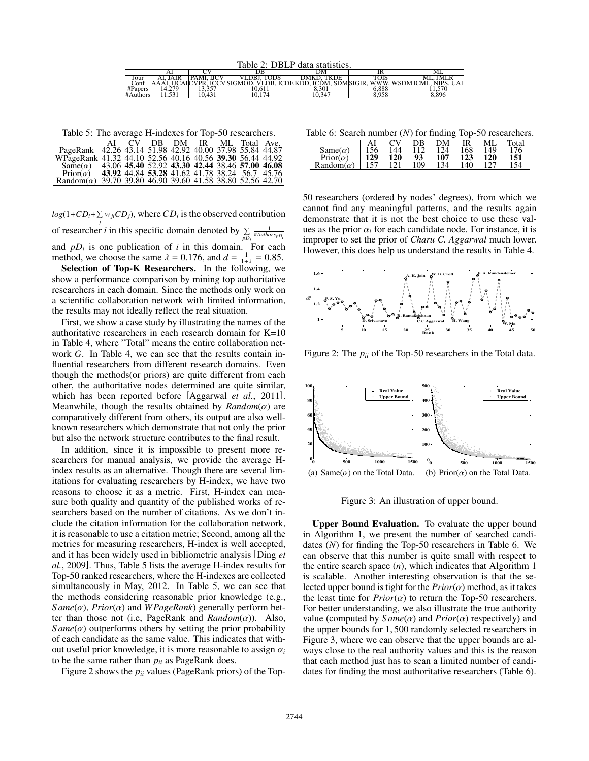Table 2: DBLP data statistics.

|          | Al           |               |                                                    | DΜ          | m                                    | IVI L                  |
|----------|--------------|---------------|----------------------------------------------------|-------------|--------------------------------------|------------------------|
| Jour     | ١IR          | H<br>DΛ<br>Mì | DBJ.<br>ODS                                        | TKDE<br>١MΚ |                                      | ML <sub>1</sub><br>ΙVΙ |
| Conf     | НC           | AICVPR        | <b>ICCV</b> SIGMOD.<br>DR.<br><b>ICDEKDD</b><br>VI | ICĎM.       | WWW.<br><b>SDMSIGIR</b><br>WSDMICML. | <b>NIPS</b><br>UAI     |
| #Papers  | 279<br>      | ---           | 10.611                                             | 8.301       | 5.888                                | 1.570                  |
| #Authors | 531<br>1.771 | .431          | 174<br>10.                                         | 10.347      | 8.958                                | 8.896                  |

Table 5: The average H-indexes for Top-50 researchers.

|                                                                                                                       |  | CV DB DM IR ML Total Ave.                       |  |  |
|-----------------------------------------------------------------------------------------------------------------------|--|-------------------------------------------------|--|--|
|                                                                                                                       |  |                                                 |  |  |
| PageRank 42.26 43.14 51.98 42.92 40.00 37.98 55.84 44.87<br>WPageRank 41.32 44.10 52.56 40.16 40.56 39.30 56.44 44.92 |  |                                                 |  |  |
| Same(a) $ 43.06$ 45.40 52.92 43.30 42.44 38.46 57.00 46.08                                                            |  |                                                 |  |  |
| $Prior(\alpha)$                                                                                                       |  | 43.92 44.84 53.28 41.62 41.78 38.24 56.7  45.76 |  |  |
| Random( $\alpha$ ) 39.70 39.80 46.90 39.60 41.58 38.80 52.56 42.70                                                    |  |                                                 |  |  |

 $log(1+CD_i+\sum w_{ji}CD_j)$ , where  $CD_i$  is the observed contribution

of researcher *i* in this specific domain denoted by  $\Sigma$ *pDi* 1 #*AuthorspDi* and  $pD_i$  is one publication of  $i$  in this domain. For each method, we choose the same  $\lambda = 0.176$ , and  $d = \frac{1}{1 + \lambda} = 0.85$ .

Selection of Top-K Researchers. In the following, we show a performance comparison by mining top authoritative researchers in each domain. Since the methods only work on a scientific collaboration network with limited information, the results may not ideally reflect the real situation.

First, we show a case study by illustrating the names of the authoritative researchers in each research domain for K=10 in Table 4, where "Total" means the entire collaboration network *G*. In Table 4, we can see that the results contain influential researchers from different research domains. Even though the methods(or priors) are quite different from each other, the authoritative nodes determined are quite similar, which has been reported before [Aggarwal *et al.*, 2011]. Meanwhile, though the results obtained by *Random*(α) are comparatively different from others, its output are also wellknown researchers which demonstrate that not only the prior but also the network structure contributes to the final result.

In addition, since it is impossible to present more researchers for manual analysis, we provide the average Hindex results as an alternative. Though there are several limitations for evaluating researchers by H-index, we have two reasons to choose it as a metric. First, H-index can measure both quality and quantity of the published works of researchers based on the number of citations. As we don't include the citation information for the collaboration network, it is reasonable to use a citation metric; Second, among all the metrics for measuring researchers, H-index is well accepted, and it has been widely used in bibliometric analysis [Ding *et al.*, 2009]. Thus, Table 5 lists the average H-index results for Top-50 ranked researchers, where the H-indexes are collected simultaneously in May, 2012. In Table 5, we can see that the methods considering reasonable prior knowledge (e.g., *S ame*(α), *Prior*(α) and *WPageRank*) generally perform better than those not (i.e, PageRank and *Random*(α)). Also,  $Same(\alpha)$  outperforms others by setting the prior probability of each candidate as the same value. This indicates that without useful prior knowledge, it is more reasonable to assign  $\alpha_i$ to be the same rather than  $p_{ii}$  as PageRank does.

Figure 2 shows the  $p_{ii}$  values (PageRank priors) of the Top-

Table 6: Search number (*N*) for finding Top-50 researchers.

|                 |     |     | ж   | эM. |     |     | otal |
|-----------------|-----|-----|-----|-----|-----|-----|------|
| $Same(\alpha)$  | .56 | 44  |     | 24  | 168 | 149 | 76   |
| $Prior(\alpha)$ | 129 | 120 | 93  | 107 | 123 | 120 | 151  |
| Random          |     | 121 | 109 | 134 | 140 | 127 | 154  |

50 researchers (ordered by nodes' degrees), from which we cannot find any meaningful patterns, and the results again demonstrate that it is not the best choice to use these values as the prior  $\alpha_i$  for each candidate node. For instance, it is improper to set the prior of *Charu C. Aggarwal* much lower. However, this does help us understand the results in Table 4.



Figure 2: The  $p_{ii}$  of the Top-50 researchers in the Total data.



Figure 3: An illustration of upper bound.

Upper Bound Evaluation. To evaluate the upper bound in Algorithm 1, we present the number of searched candidates (*N*) for finding the Top-50 researchers in Table 6. We can observe that this number is quite small with respect to the entire search space (*n*), which indicates that Algorithm 1 is scalable. Another interesting observation is that the selected upper bound is tight for the  $Prior(\alpha)$  method, as it takes the least time for  $Prior(\alpha)$  to return the Top-50 researchers. For better understanding, we also illustrate the true authority value (computed by  $Same(\alpha)$  and  $Prior(\alpha)$  respectively) and the upper bounds for 1, 500 randomly selected researchers in Figure 3, where we can observe that the upper bounds are always close to the real authority values and this is the reason that each method just has to scan a limited number of candidates for finding the most authoritative researchers (Table 6).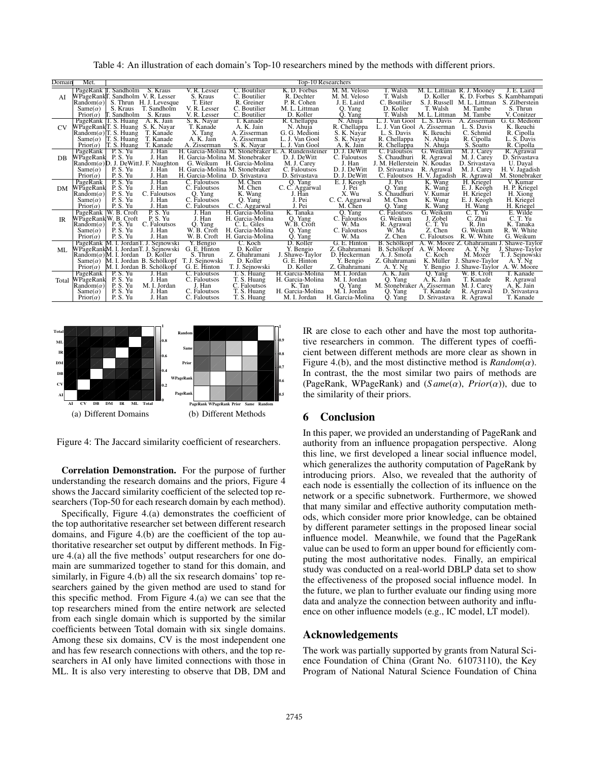Table 4: An illustration of each domain's Top-10 researchers mined by the methods with different priors.

| Domain    | Met.                    |                                                 |                                                    |                        |                                                     | <b>Top-10 Researchers</b> |                         |                             |                             |                             |                                           |
|-----------|-------------------------|-------------------------------------------------|----------------------------------------------------|------------------------|-----------------------------------------------------|---------------------------|-------------------------|-----------------------------|-----------------------------|-----------------------------|-------------------------------------------|
|           |                         | PageRank T. Sandholm S. Kraus                   |                                                    | V. R. Lesser           | C. Boutilier                                        | K. D. Forbus              | M. M. Veloso            | T. Walsh                    |                             | M. L. Littman R. J. Mooney  | J. E. Laird                               |
| AI        |                         |                                                 | WPageRankT. Sandholm V. R. Lesser                  | S. Kraus               | C. Boutilier                                        | R. Dechter                | M. M. Veloso            | T. Walsh                    | D. Koller                   |                             | K. D. Forbus S. Kambhampati               |
|           |                         |                                                 | $\text{Random}(\alpha)$ S. Thrun H. J. Levesque    | T. Eiter               | R. Greiner                                          | P. R. Cohen               | J. E. Laird             | C. Boutilier                |                             | S. J. Russell M. L. Littman | S. Zilberstein                            |
|           | $Same(\alpha)$          | S. Kraus                                        | T. Sandholm                                        | V. R. Lesser           | C. Boutilier                                        | M. L. Littman             | O. Yang                 | D. Koller                   | T. Walsh                    | M. Tambe                    | S. Thrun                                  |
|           |                         | Prior $(\alpha)$ T. Sandholm                    | S. Kraus                                           | V. R. Lesser           | C. Boutilier                                        | D. Koller                 | Q. Yang                 | T. Walsh                    | M. L. Littman               | M. Tambe                    | V. Conitzer                               |
|           |                         | PageRank T. S. Huang                            | A. K. Jain                                         | S. K. Nayar            | T. Kanade                                           | R. Chellappa              | N. Ahuja                | L. J. Van Gool              | L. S. Davis                 | A. Zisserman                | G. G. Medioni                             |
| CV        |                         |                                                 | WPageRankT. S. Huang S. K. Nayar                   | T. Kanade              | A. K. Jain                                          | N. Ahuja                  | R. Chellappa            | L. J. Van Gool A. Zisserman |                             | L. S. Davis                 | K. Ikeuchi                                |
|           |                         | $\text{Random}(\alpha)$ T. S. Huang             | T. Kanade                                          | X. Tang                | A. Zisserman                                        | G. G. Medioni             | S. K. Nayar             | L. S. Davis                 | K. Ikeuchi                  | C. Schmid                   | R. Cipolla                                |
|           |                         | Same( $\alpha$ ) T. S. Huang                    | T. Kanade                                          | A. K. Jain             | A. Zisserman                                        | L. J. Van Gool            | S. K. Nayar             | R. Chellappa                | N. Ahuja                    | R. Cipolla                  | L. S. Davis                               |
|           | $Prior(\alpha)$         | T. S. Huang                                     | T. Kanade                                          | A. Zisserman           | S. K. Nayar                                         | L. J. Van Gool            | A. K. Jain              | R. Chellappa                | N. Ahuja                    | S. Soatto                   | R. Cipolla                                |
|           | PageRank                | P.S.Yu                                          | J. Han                                             |                        | H. Garcia-Molina M. Stonebraker E. A. Rundensteiner |                           | D. J. DeWitt            | C. Faloutsos                | G. Weikum                   | M. J. Carey                 | R. Agrawal                                |
| DB.       | WPageRank P.S. Yu       |                                                 | J. Han                                             |                        | H. Garcia-Molina M. Stonebraker                     | D. J. DeWitt              | C. Faloutsos            | S. Chaudhuri                | R. Agrawal                  | M. J. Carey                 | D. Srivastava                             |
|           |                         |                                                 | $\text{Random}(\alpha)$ D. J. DeWittJ. F. Naughton | G. Weikum              | H. Garcia-Molina                                    | M. J. Carey               | J. Han                  | J. M. Hellerstein N. Koudas |                             | D. Srivastava               | U. Daval                                  |
|           | $Same(\alpha)$          | P.S.Yu                                          | J. Han                                             |                        | H. Garcia-Molina M. Stonebraker                     | C. Faloutsos              | D. J. DeWitt            | D. Srivastava               | R. Agrawal                  | M. J. Carev                 | H. V. Jagadish                            |
|           | $Prior(\alpha)$         | P.S.Yu                                          | J. Han                                             |                        | H. Garcia-Molina D. Srivastava                      | D. Srivastava             | D. J. DeWitt            |                             | C. Faloutsos H. V. Jagadish | R. Agrawal                  | M. Stonebraker                            |
|           | PageRank                | P.S. Yu                                         | J. Han                                             | C. Faloutsos           | M. Chen                                             | Q. Yang                   | E. J. Keogh             | J. Pei                      | K. Wang                     | H. Kriegel                  | V. Kumar                                  |
| DM        | WPageRank               | P.S.Yu                                          | J. Han                                             | C. Faloutsos           | M. Chen                                             | C. C. Aggarwal            | J. Pei                  | Q. Yang                     | K. Wang                     | E. J. Keogh                 | H. P. Kriegel                             |
|           | $\text{Random}(\alpha)$ | P.S.Yu                                          | C. Faloutsos                                       | Q. Yang                | K. Wang                                             | J. Han                    | X. Wu                   | S. Chaudhuri                | V. Kumar                    | H. Kriegel                  | H. Xiong                                  |
|           | $Same(\alpha)$          | P.S.Yu                                          | J. Han                                             | C. Faloutsos           | Q. Yang                                             | J. Pei                    | C. C. Aggarwal          | M. Chen                     | K. Wang                     | E. J. Keogh                 | H. Kriegel                                |
|           | $Prior(\alpha)$         | P.S.Yu                                          | J. Han                                             | C. Faloutsos           | C. C. Aggarwal                                      | J. Pei                    | M. Chen                 | Q. Yang                     | K. Wang                     | H. Wang                     | H. Kriegel                                |
|           |                         | PageRank   W. B. Croft<br>WPageRank W. B. Croft | P.S.Yu                                             | J. Han                 | H. Garcia-Molina                                    | K. Tanaka                 | Q. Yang                 | C. Faloutsos                | G. Weikum                   | C. T. Yu                    | E. Wilde                                  |
| <b>IR</b> | $\text{Random}(\alpha)$ | P. S. Yu                                        | P.S.Yu<br>C. Faloutsos                             | J. Han                 | H. Garcia-Molina<br>C. L. Giles                     | Q. Yang<br>W. B. Croft    | C. Faloutsos<br>W. Ma   | G. Weikum<br>R. Agrawal     | J. Zobel<br>C. T. Yu        | C. Zhai<br>R. Jin           | C. T. Yu<br>K. Tanaka                     |
|           | $Same(\alpha)$          | P.S.Yu                                          | J. Han                                             | Q. Yang<br>W. B. Croft | H. Garcia-Molina                                    | Q. Yang                   | C. Faloutsos            | W.Ma                        | Z. Chen                     | G. Weikum                   | R. W. White                               |
|           | $Prior(\alpha)$         | P.S.Yu                                          | J. Han                                             | W. B. Croft            | H. Garcia-Molina                                    | Q. Yang                   | W. Ma                   | Z. Chen                     | C. Faloutsos                | R. W. White                 | G. Weikum                                 |
|           |                         |                                                 | PageRank M. I. JordanT. J. Sejnowski               | Y. Bengio              | C. Koch                                             | D. Koller                 | G. E. Hinton            | <b>B.</b> Schölkopf         |                             |                             | A. W. Moore Z. Ghahramani J. Shawe-Taylor |
| ML.       |                         |                                                 | WPageRankM. I. JordanT. J. Seinowski               | G. E. Hinton           | D. Koller                                           | Y. Bengio                 | Z. Ghahramani           | B. Schölkopf                | A. W. Moore                 | A. Y. Ng                    | J. Shawe-Taylor                           |
|           |                         | $\text{Random}(\alpha)$ M. I. Jordan            | D. Koller                                          | S. Thrun               | Z. Ghahramani                                       | J. Shawe-Taylor           | D. Heckerman            | A. J. Smola                 | C. Koch                     | M. Mozer                    | T. J. Sejnowski                           |
|           |                         |                                                 | $Same(\alpha)$ M. I. Jordan B. Schölkopf           | T. J. Sejnowski        | D. Koller                                           | G. E. Hinton              | Y. Bengio               | Z. Ghahramani               | K. Müller                   | J. Shawe-Taylor             | A. Y. Ng                                  |
|           | $Prior(\alpha)$         |                                                 | M. I. Jordan B. Schölkopf                          | G. E. Hinton           | T. J. Sejnowski                                     | D. Koller                 | Z. Ghahramani           | A. Y. Ng                    | Y. Bengio                   |                             | J. Shawe-Taylor A. W. Moore               |
|           | PageRank                | P.S.Yu                                          | J. Han                                             | C. Faloutsos           | T. S. Huang                                         | H. Garcia-Molina          | M. I. Jordan            | A. K. Jain                  | Q. Yang                     | W. B. Croft                 | T. Kanade                                 |
| Total     | WPageRank               | P.S.Yu                                          | J. Han                                             | C. Faloutsos           | T. S. Huang                                         | H. Garcia-Molina          | M. I. Jordan            | Q. Yang                     | A. K. Jain                  | T. Kanade                   | R. Agrawal                                |
|           | $\text{Random}(\alpha)$ | P.S.Yu                                          | M. I. Jordan                                       | J. Han                 | C. Faloutsos                                        | K. Tan                    |                         | M. Stonebraker A. Zisserman |                             | M. J. Carey                 | A. K. Jain                                |
|           | $Same(\alpha)$          | P.S.Yu                                          | J. Han                                             | C. Faloutsos           | T. S. Huang                                         | H. Garcia-Molina          | Q. Yang<br>M. I. Jordan | Q. Yang                     | T. Kanade                   | R. Agrawal                  | D. Srivastava                             |
|           | $Prior(\alpha)$         | P.S.Yu                                          | J. Han                                             | C. Faloutsos           | T. S. Huang                                         | M. I. Jordan              | H. Garcia-Molina        | Q. Yang                     | D. Srivastava               | R. Agrawal                  | T. Kanade                                 |
|           |                         |                                                 |                                                    |                        |                                                     |                           |                         |                             |                             |                             |                                           |



Figure 4: The Jaccard similarity coefficient of researchers.

Correlation Demonstration. For the purpose of further understanding the research domains and the priors, Figure 4 shows the Jaccard similarity coefficient of the selected top researchers (Top-50 for each research domain by each method).

Specifically, Figure 4.(a) demonstrates the coefficient of the top authoritative researcher set between different research domains, and Figure 4.(b) are the coefficient of the top authoritative researcher set output by different methods. In Figure 4.(a) all the five methods' output researchers for one domain are summarized together to stand for this domain, and similarly, in Figure 4.(b) all the six research domains' top researchers gained by the given method are used to stand for this specific method. From Figure 4.(a) we can see that the top researchers mined from the entire network are selected from each single domain which is supported by the similar coefficients between Total domain with six single domains. Among these six domains, CV is the most independent one and has few research connections with others, and the top researchers in AI only have limited connections with those in ML. It is also very interesting to observe that DB, DM and IR are close to each other and have the most top authoritative researchers in common. The different types of coefficient between different methods are more clear as shown in Figure 4.(b), and the most distinctive method is  $Random(\alpha)$ . In contrast, the the most similar two pairs of methods are (PageRank, WPageRank) and  $(Same(\alpha), Prior(\alpha))$ , due to the similarity of their priors.

### 6 Conclusion

In this paper, we provided an understanding of PageRank and authority from an influence propagation perspective. Along this line, we first developed a linear social influence model, which generalizes the authority computation of PageRank by introducing priors. Also, we revealed that the authority of each node is essentially the collection of its influence on the network or a specific subnetwork. Furthermore, we showed that many similar and effective authority computation methods, which consider more prior knowledge, can be obtained by different parameter settings in the proposed linear social influence model. Meanwhile, we found that the PageRank value can be used to form an upper bound for efficiently computing the most authoritative nodes. Finally, an empirical study was conducted on a real-world DBLP data set to show the effectiveness of the proposed social influence model. In the future, we plan to further evaluate our finding using more data and analyze the connection between authority and influence on other influence models (e.g., IC model, LT model).

## Acknowledgements

The work was partially supported by grants from Natural Science Foundation of China (Grant No. 61073110), the Key Program of National Natural Science Foundation of China